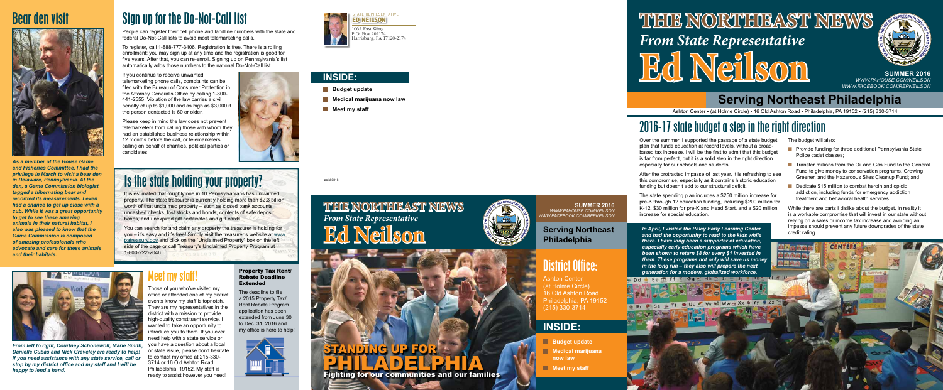## Bear den visit



*As a member of the House Game and Fisheries Committee, I had the privilege in March to visit a bear den in Delaware, Pennsylvania. At the den, a Game Commission biologist tagged a hibernating bear and recorded its measurements. I even had a chance to get up close with a cub. While it was a great opportunity to get to see these amazing animals in their natural habitat, I also was pleased to know that the Game Commission is composed of amazing professionals who advocate and care for these animals and their habitats.*

# Sign up for the Do-Not-Call list

People can register their cell phone and landline numbers with the state and federal Do-Not-Call lists to avoid most telemarketing calls.

To register, call 1-888-777-3406. Registration is free. There is a rolling enrollment; you may sign up at any time and the registration is good for five years. After that, you can re-enroll. Signing up on Pennsylvania's list automatically adds those numbers to the national Do-Not-Call list.

If you continue to receive unwanted telemarketing phone calls, complaints can be filed with the Bureau of Consumer Protection in the Attorney General's Office by calling 1-800- 441-2555. Violation of the law carries a civil penalty of up to \$1,000 and as high as \$3,000 if the person contacted is 60 or older.

Please keep in mind the law does not prevent telemarketers from calling those with whom they had an established business relationship within 12 months before the call, or telemarketers calling on behalf of charities, political parties or candidates.



## Is the state holding your property?

It is estimated that roughly one in 10 Pennsylvanians has unclaimed property. The state treasurer is currently holding more than \$2.3 billion worth of that unclaimed property – such as closed bank accounts, uncashed checks, lost stocks and bonds, contents of safe deposit boxes, and unexpired gift certificates and gift cards.

You can search for and claim any property the treasurer is holding for you – it's easy and it's free! Simply visit the treasurer's website at www. patreasury.gov and click on the "Unclaimed Property" box on the left side of the page or call Treasury's Unclaimed Property Program at 1-800-222-2046. GB 271911038



*From left to right, Courtney Schonewolf, Marie Smith, Danielle Cubas and Nick Graveley are ready to help! If you need assistance with any state service, call or stop by my district office and my staff and I will be happy to lend a hand.* 

### Meet my staff!

Those of you who've visited my office or attended one of my district events know my staff is topnotch. They are my representatives in the district with a mission to provide high-quality constituent service. I wanted to take an opportunity to introduce you to them. If you ever need help with a state service or you have a question about a local or state issue, please don't hesitate to contact my office at 215-330- 3714 or 16 Old Ashton Road, Philadelphia, 19152. My staff is ready to assist however you need!

#### Property Tax Rent/ Rebate Deadline Extended

The deadline to file a 2015 Property Tax/ Rent Rebate Program application has been extended from June 30 to Dec. 31, 2016 and my office is here to help!